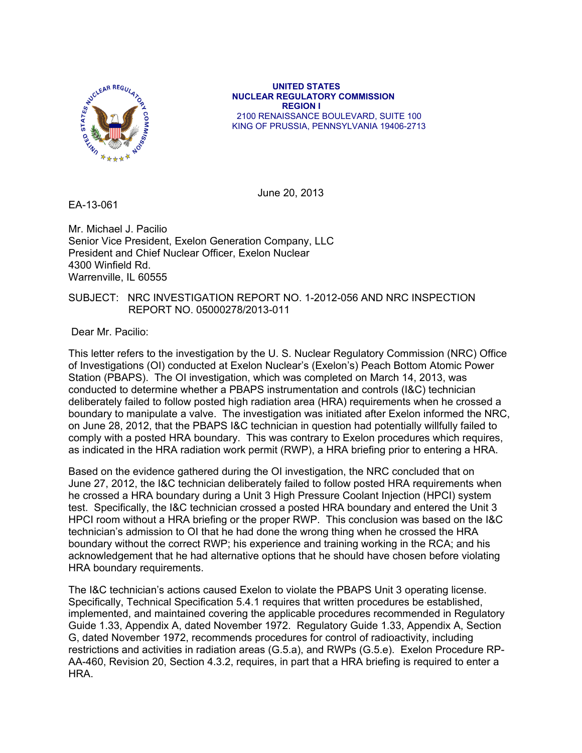

 **UNITED STATES NUCLEAR REGULATORY COMMISSION REGION I**  2100 RENAISSANCE BOULEVARD, SUITE 100 KING OF PRUSSIA, PENNSYLVANIA 19406-2713

June 20, 2013

EA-13-061

Mr. Michael J. Pacilio Senior Vice President, Exelon Generation Company, LLC President and Chief Nuclear Officer, Exelon Nuclear 4300 Winfield Rd. Warrenville, IL 60555

## SUBJECT: NRC INVESTIGATION REPORT NO. 1-2012-056 AND NRC INSPECTION REPORT NO. 05000278/2013-011

Dear Mr. Pacilio:

This letter refers to the investigation by the U. S. Nuclear Regulatory Commission (NRC) Office of Investigations (OI) conducted at Exelon Nuclear's (Exelon's) Peach Bottom Atomic Power Station (PBAPS). The OI investigation, which was completed on March 14, 2013, was conducted to determine whether a PBAPS instrumentation and controls (I&C) technician deliberately failed to follow posted high radiation area (HRA) requirements when he crossed a boundary to manipulate a valve. The investigation was initiated after Exelon informed the NRC, on June 28, 2012, that the PBAPS I&C technician in question had potentially willfully failed to comply with a posted HRA boundary. This was contrary to Exelon procedures which requires, as indicated in the HRA radiation work permit (RWP), a HRA briefing prior to entering a HRA.

Based on the evidence gathered during the OI investigation, the NRC concluded that on June 27, 2012, the I&C technician deliberately failed to follow posted HRA requirements when he crossed a HRA boundary during a Unit 3 High Pressure Coolant Injection (HPCI) system test. Specifically, the I&C technician crossed a posted HRA boundary and entered the Unit 3 HPCI room without a HRA briefing or the proper RWP. This conclusion was based on the I&C technician's admission to OI that he had done the wrong thing when he crossed the HRA boundary without the correct RWP; his experience and training working in the RCA; and his acknowledgement that he had alternative options that he should have chosen before violating HRA boundary requirements.

The I&C technician's actions caused Exelon to violate the PBAPS Unit 3 operating license. Specifically, Technical Specification 5.4.1 requires that written procedures be established, implemented, and maintained covering the applicable procedures recommended in Regulatory Guide 1.33, Appendix A, dated November 1972. Regulatory Guide 1.33, Appendix A, Section G, dated November 1972, recommends procedures for control of radioactivity, including restrictions and activities in radiation areas (G.5.a), and RWPs (G.5.e). Exelon Procedure RP-AA-460, Revision 20, Section 4.3.2, requires, in part that a HRA briefing is required to enter a HRA.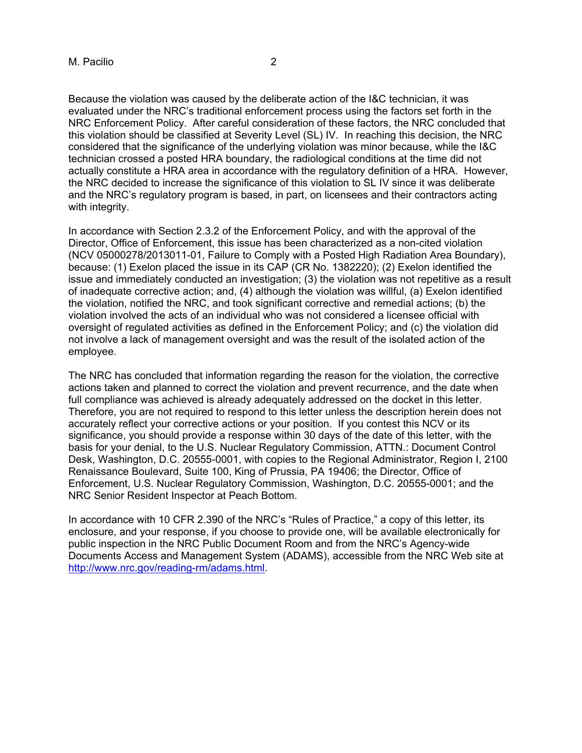Because the violation was caused by the deliberate action of the I&C technician, it was evaluated under the NRC's traditional enforcement process using the factors set forth in the NRC Enforcement Policy. After careful consideration of these factors, the NRC concluded that this violation should be classified at Severity Level (SL) IV. In reaching this decision, the NRC considered that the significance of the underlying violation was minor because, while the I&C technician crossed a posted HRA boundary, the radiological conditions at the time did not actually constitute a HRA area in accordance with the regulatory definition of a HRA. However, the NRC decided to increase the significance of this violation to SL IV since it was deliberate and the NRC's regulatory program is based, in part, on licensees and their contractors acting with integrity.

In accordance with Section 2.3.2 of the Enforcement Policy, and with the approval of the Director, Office of Enforcement, this issue has been characterized as a non-cited violation (NCV 05000278/2013011-01, Failure to Comply with a Posted High Radiation Area Boundary), because: (1) Exelon placed the issue in its CAP (CR No. 1382220); (2) Exelon identified the issue and immediately conducted an investigation; (3) the violation was not repetitive as a result of inadequate corrective action; and, (4) although the violation was willful, (a) Exelon identified the violation, notified the NRC, and took significant corrective and remedial actions; (b) the violation involved the acts of an individual who was not considered a licensee official with oversight of regulated activities as defined in the Enforcement Policy; and (c) the violation did not involve a lack of management oversight and was the result of the isolated action of the employee.

The NRC has concluded that information regarding the reason for the violation, the corrective actions taken and planned to correct the violation and prevent recurrence, and the date when full compliance was achieved is already adequately addressed on the docket in this letter. Therefore, you are not required to respond to this letter unless the description herein does not accurately reflect your corrective actions or your position. If you contest this NCV or its significance, you should provide a response within 30 days of the date of this letter, with the basis for your denial, to the U.S. Nuclear Regulatory Commission, ATTN.: Document Control Desk, Washington, D.C. 20555-0001, with copies to the Regional Administrator, Region I, 2100 Renaissance Boulevard, Suite 100, King of Prussia, PA 19406; the Director, Office of Enforcement, U.S. Nuclear Regulatory Commission, Washington, D.C. 20555-0001; and the NRC Senior Resident Inspector at Peach Bottom.

In accordance with 10 CFR 2.390 of the NRC's "Rules of Practice," a copy of this letter, its enclosure, and your response, if you choose to provide one, will be available electronically for public inspection in the NRC Public Document Room and from the NRC's Agency-wide Documents Access and Management System (ADAMS), accessible from the NRC Web site at http://www.nrc.gov/reading-rm/adams.html.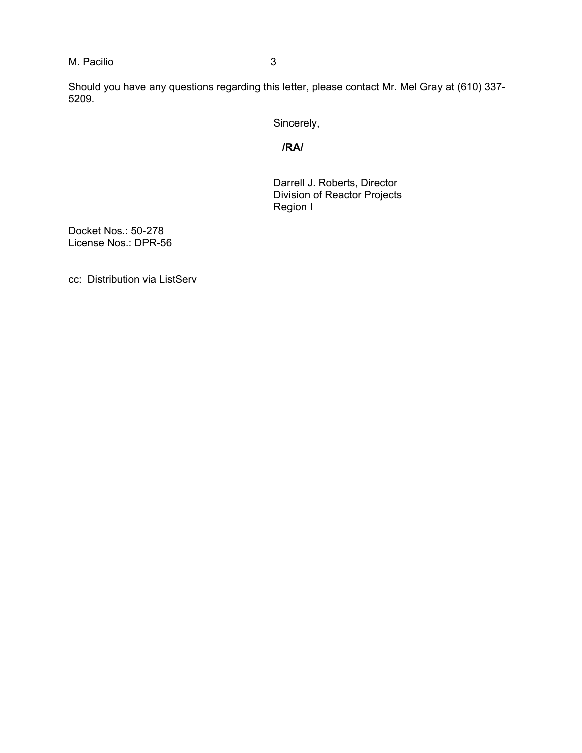M. Pacilio 3

Should you have any questions regarding this letter, please contact Mr. Mel Gray at (610) 337- 5209.

Sincerely,

*<i><u> /RA/</u>*  $\sim$ 

Darrell J. Roberts, Director Division of Reactor Projects Region I

Docket Nos.: 50-278 License Nos.: DPR-56

cc: Distribution via ListServ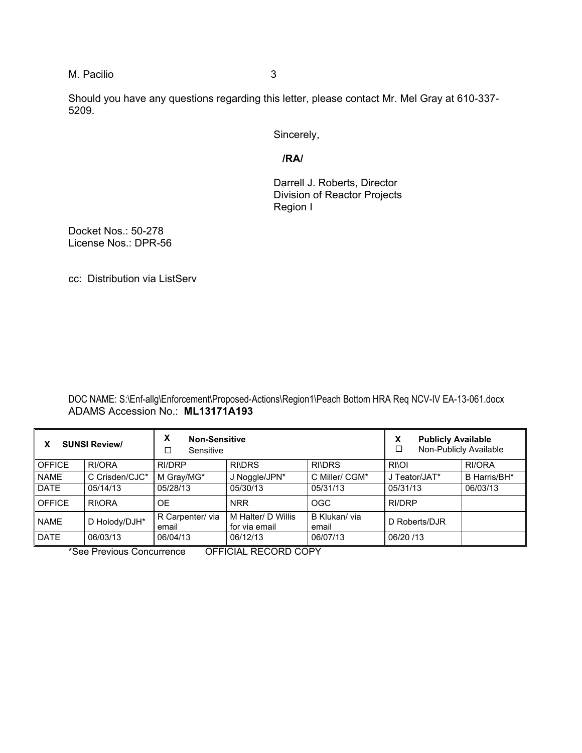M. Pacilio 3

Should you have any questions regarding this letter, please contact Mr. Mel Gray at 610-337- 5209.

Sincerely,

**/RA/** 

Darrell J. Roberts, Director Division of Reactor Projects Region I

Docket Nos.: 50-278 License Nos.: DPR-56

cc: Distribution via ListServ

DOC NAME: S:\Enf-allg\Enforcement\Proposed-Actions\Region1\Peach Bottom HRA Req NCV-IV EA-13-061.docx ADAMS Accession No.: **ML13171A193** 

| <b>SUNSI Review/</b> |                | X<br><b>Non-Sensitive</b><br>$\Box$<br>Sensitive |                                       |                       | <b>Publicly Available</b><br>x<br>Г<br>Non-Publicly Available |              |
|----------------------|----------------|--------------------------------------------------|---------------------------------------|-----------------------|---------------------------------------------------------------|--------------|
| <b>OFFICE</b>        | RI/ORA         | RI/DRP                                           | <b>RI\DRS</b>                         | <b>RI\DRS</b>         | <b>RIOI</b>                                                   | RI/ORA       |
| <b>NAME</b>          | C Crisden/CJC* | M Gray/MG*                                       | J Noggle/JPN*                         | C Miller/ CGM*        | J Teator/JAT*                                                 | B Harris/BH* |
| <b>DATE</b>          | 05/14/13       | 05/28/13                                         | 05/30/13                              | 05/31/13              | 05/31/13                                                      | 06/03/13     |
| <b>OFFICE</b>        | <b>RIORA</b>   | <b>OE</b>                                        | <b>NRR</b>                            | OGC                   | RI/DRP                                                        |              |
| <b>NAME</b>          | D Holody/DJH*  | R Carpenter/via<br>email                         | l M Halter/ D Willis<br>for via email | B Klukan/via<br>email | D Roberts/DJR                                                 |              |
| <b>DATE</b>          | 06/03/13       | 06/04/13                                         | 06/12/13                              | 06/07/13              | 06/20 /13                                                     |              |

\*See Previous Concurrence OFFICIAL RECORD COPY